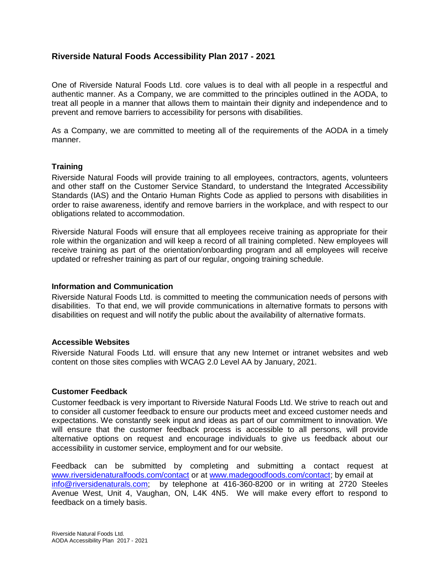# **Riverside Natural Foods Accessibility Plan 2017 - 2021**

One of Riverside Natural Foods Ltd. core values is to deal with all people in a respectful and authentic manner. As a Company, we are committed to the principles outlined in the AODA, to treat all people in a manner that allows them to maintain their dignity and independence and to prevent and remove barriers to accessibility for persons with disabilities.

As a Company, we are committed to meeting all of the requirements of the AODA in a timely manner.

### **Training**

Riverside Natural Foods will provide training to all employees, contractors, agents, volunteers and other staff on the Customer Service Standard, to understand the Integrated Accessibility Standards (IAS) and the Ontario Human Rights Code as applied to persons with disabilities in order to raise awareness, identify and remove barriers in the workplace, and with respect to our obligations related to accommodation.

Riverside Natural Foods will ensure that all employees receive training as appropriate for their role within the organization and will keep a record of all training completed. New employees will receive training as part of the orientation/onboarding program and all employees will receive updated or refresher training as part of our regular, ongoing training schedule.

### **Information and Communication**

Riverside Natural Foods Ltd. is committed to meeting the communication needs of persons with disabilities. To that end, we will provide communications in alternative formats to persons with disabilities on request and will notify the public about the availability of alternative formats.

### **Accessible Websites**

Riverside Natural Foods Ltd. will ensure that any new Internet or intranet websites and web content on those sites complies with WCAG 2.0 Level AA by January, 2021.

### **Customer Feedback**

Customer feedback is very important to Riverside Natural Foods Ltd. We strive to reach out and to consider all customer feedback to ensure our products meet and exceed customer needs and expectations. We constantly seek input and ideas as part of our commitment to innovation. We will ensure that the customer feedback process is accessible to all persons, will provide alternative options on request and encourage individuals to give us feedback about our accessibility in customer service, employment and for our website.

Feedback can be submitted by completing and submitting a contact request at [www.riversidenaturalfoods.com/contact](http://www.riversidenaturalfoods.com/contact) or at [www.madegoodfoods.com/contact;](http://www.madegoodfoods.com/contact) by email at [info@riversidenaturals.com;](mailto:info@riversidenaturals.com) by telephone at 416-360-8200 or in writing at 2720 Steeles Avenue West, Unit 4, Vaughan, ON, L4K 4N5. We will make every effort to respond to feedback on a timely basis.